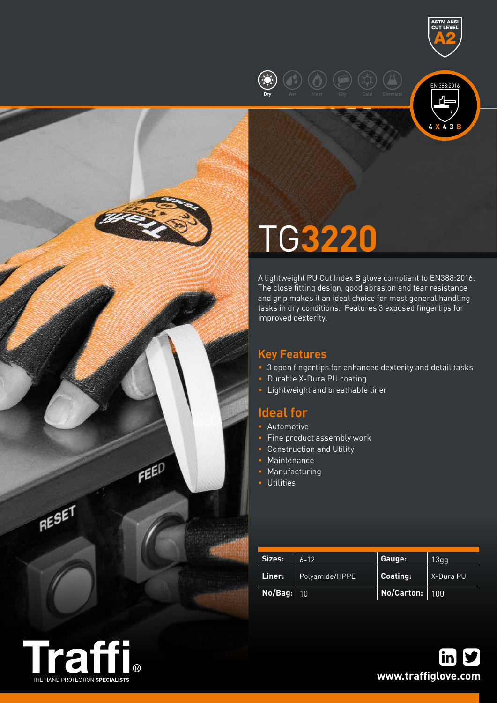



ASTM ANSI CUT LEVEL A2

# TG**3220**

A lightweight PU Cut Index B glove compliant to EN388:2016. The close fitting design, good abrasion and tear resistance and grip makes it an ideal choice for most general handling tasks in dry conditions. Features 3 exposed fingertips for improved dexterity.

# **Key Features**

- 3 open fingertips for enhanced dexterity and detail tasks
- Durable X-Dura PU coating
- Lightweight and breathable liner

# **Ideal for**

- Automotive
- Fine product assembly work
- Construction and Utility
- Maintenance
- Manufacturing
- Utilities

| Sizes:     | $6 - 12$       | Gauge:                                 | 13gg      |  |
|------------|----------------|----------------------------------------|-----------|--|
| Liner: \   | Polyamide/HPPE | <b>Coating:</b>                        | X-Dura PU |  |
| No/Bag: 10 |                | $\vert$ No/Carton: $\vert$ 100 $\vert$ |           |  |



RESET

**FEED**